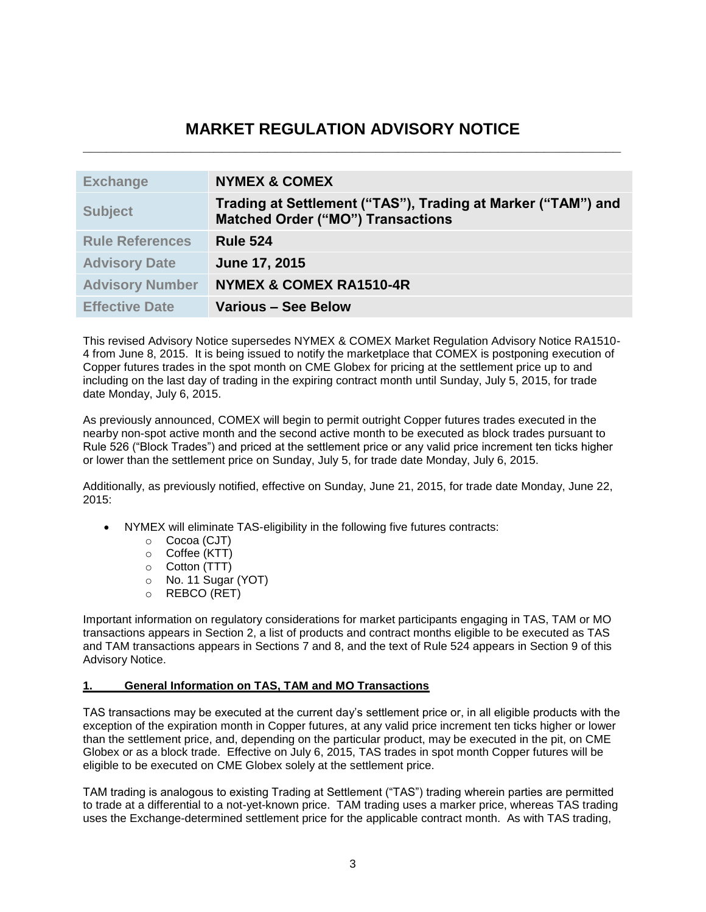# **MARKET REGULATION ADVISORY NOTICE \_\_\_\_\_\_\_\_\_\_\_\_\_\_\_\_\_\_\_\_\_\_\_\_\_\_\_\_\_\_\_\_\_\_\_\_\_\_\_\_\_\_\_\_\_\_\_\_\_\_\_\_\_\_\_\_\_\_\_\_\_\_\_\_\_\_\_\_\_\_**

| <b>Exchange</b>        | <b>NYMEX &amp; COMEX</b>                                                                                 |
|------------------------|----------------------------------------------------------------------------------------------------------|
| <b>Subject</b>         | Trading at Settlement ("TAS"), Trading at Marker ("TAM") and<br><b>Matched Order ("MO") Transactions</b> |
| <b>Rule References</b> | <b>Rule 524</b>                                                                                          |
| <b>Advisory Date</b>   | June 17, 2015                                                                                            |
| <b>Advisory Number</b> | <b>NYMEX &amp; COMEX RA1510-4R</b>                                                                       |
| <b>Effective Date</b>  | <b>Various - See Below</b>                                                                               |

This revised Advisory Notice supersedes NYMEX & COMEX Market Regulation Advisory Notice RA1510- 4 from June 8, 2015. It is being issued to notify the marketplace that COMEX is postponing execution of Copper futures trades in the spot month on CME Globex for pricing at the settlement price up to and including on the last day of trading in the expiring contract month until Sunday, July 5, 2015, for trade date Monday, July 6, 2015.

As previously announced, COMEX will begin to permit outright Copper futures trades executed in the nearby non-spot active month and the second active month to be executed as block trades pursuant to Rule 526 ("Block Trades") and priced at the settlement price or any valid price increment ten ticks higher or lower than the settlement price on Sunday, July 5, for trade date Monday, July 6, 2015.

Additionally, as previously notified, effective on Sunday, June 21, 2015, for trade date Monday, June 22, 2015:

- NYMEX will eliminate TAS-eligibility in the following five futures contracts:
	- o Cocoa (CJT)
	- o Coffee (KTT)
	- o Cotton (TTT)
	- o No. 11 Sugar (YOT)
	- o REBCO (RET)

Important information on regulatory considerations for market participants engaging in TAS, TAM or MO transactions appears in Section 2, a list of products and contract months eligible to be executed as TAS and TAM transactions appears in Sections 7 and 8, and the text of Rule 524 appears in Section 9 of this Advisory Notice.

# **1. General Information on TAS, TAM and MO Transactions**

TAS transactions may be executed at the current day's settlement price or, in all eligible products with the exception of the expiration month in Copper futures, at any valid price increment ten ticks higher or lower than the settlement price, and, depending on the particular product, may be executed in the pit, on CME Globex or as a block trade. Effective on July 6, 2015, TAS trades in spot month Copper futures will be eligible to be executed on CME Globex solely at the settlement price.

TAM trading is analogous to existing Trading at Settlement ("TAS") trading wherein parties are permitted to trade at a differential to a not-yet-known price. TAM trading uses a marker price, whereas TAS trading uses the Exchange-determined settlement price for the applicable contract month. As with TAS trading,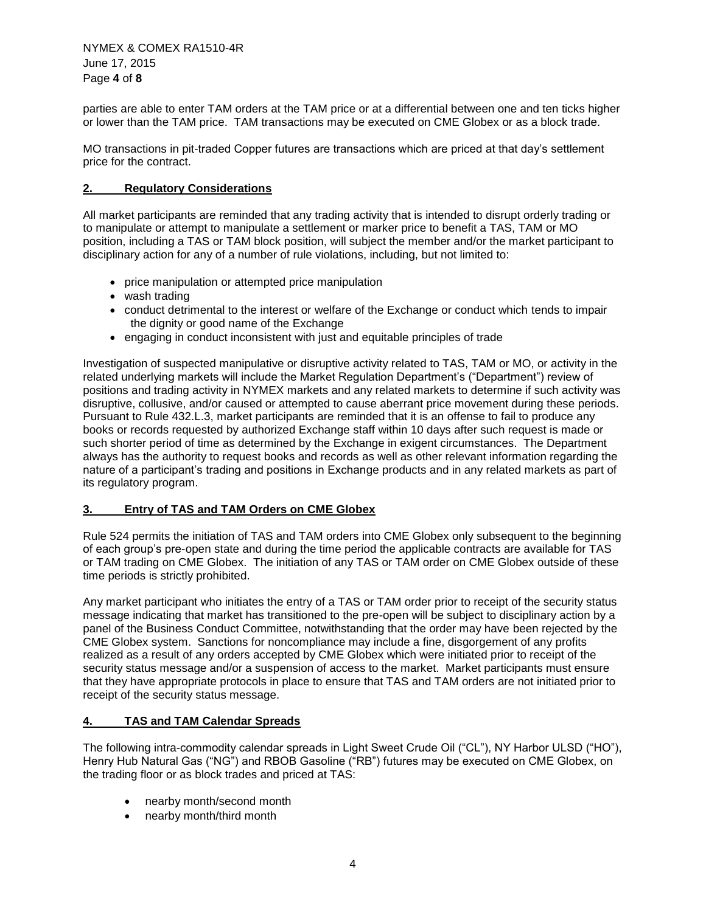parties are able to enter TAM orders at the TAM price or at a differential between one and ten ticks higher or lower than the TAM price. TAM transactions may be executed on CME Globex or as a block trade.

MO transactions in pit-traded Copper futures are transactions which are priced at that day's settlement price for the contract.

# **2. Regulatory Considerations**

All market participants are reminded that any trading activity that is intended to disrupt orderly trading or to manipulate or attempt to manipulate a settlement or marker price to benefit a TAS, TAM or MO position, including a TAS or TAM block position, will subject the member and/or the market participant to disciplinary action for any of a number of rule violations, including, but not limited to:

- price manipulation or attempted price manipulation
- wash trading
- conduct detrimental to the interest or welfare of the Exchange or conduct which tends to impair the dignity or good name of the Exchange
- engaging in conduct inconsistent with just and equitable principles of trade

Investigation of suspected manipulative or disruptive activity related to TAS, TAM or MO, or activity in the related underlying markets will include the Market Regulation Department's ("Department") review of positions and trading activity in NYMEX markets and any related markets to determine if such activity was disruptive, collusive, and/or caused or attempted to cause aberrant price movement during these periods. Pursuant to Rule 432.L.3, market participants are reminded that it is an offense to fail to produce any books or records requested by authorized Exchange staff within 10 days after such request is made or such shorter period of time as determined by the Exchange in exigent circumstances. The Department always has the authority to request books and records as well as other relevant information regarding the nature of a participant's trading and positions in Exchange products and in any related markets as part of its regulatory program.

# **3. Entry of TAS and TAM Orders on CME Globex**

Rule 524 permits the initiation of TAS and TAM orders into CME Globex only subsequent to the beginning of each group's pre-open state and during the time period the applicable contracts are available for TAS or TAM trading on CME Globex. The initiation of any TAS or TAM order on CME Globex outside of these time periods is strictly prohibited.

Any market participant who initiates the entry of a TAS or TAM order prior to receipt of the security status message indicating that market has transitioned to the pre-open will be subject to disciplinary action by a panel of the Business Conduct Committee, notwithstanding that the order may have been rejected by the CME Globex system. Sanctions for noncompliance may include a fine, disgorgement of any profits realized as a result of any orders accepted by CME Globex which were initiated prior to receipt of the security status message and/or a suspension of access to the market. Market participants must ensure that they have appropriate protocols in place to ensure that TAS and TAM orders are not initiated prior to receipt of the security status message.

# **4. TAS and TAM Calendar Spreads**

The following intra-commodity calendar spreads in Light Sweet Crude Oil ("CL"), NY Harbor ULSD ("HO"), Henry Hub Natural Gas ("NG") and RBOB Gasoline ("RB") futures may be executed on CME Globex, on the trading floor or as block trades and priced at TAS:

- nearby month/second month
- nearby month/third month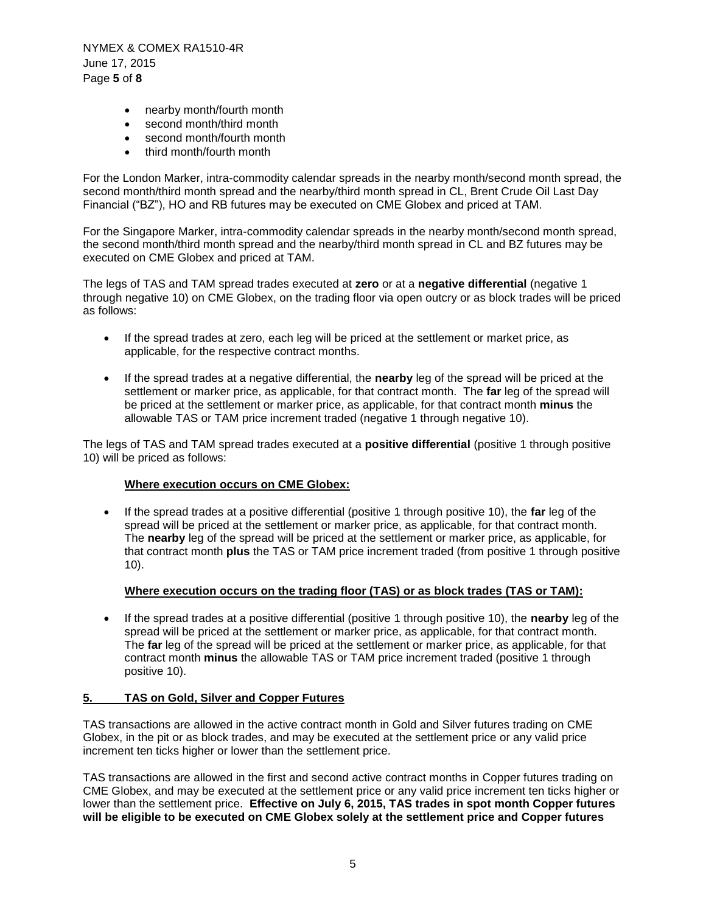NYMEX & COMEX RA1510-4R June 17, 2015 Page **5** of **8**

- nearby month/fourth month
- second month/third month
- second month/fourth month
- third month/fourth month

For the London Marker, intra-commodity calendar spreads in the nearby month/second month spread, the second month/third month spread and the nearby/third month spread in CL, Brent Crude Oil Last Day Financial ("BZ"), HO and RB futures may be executed on CME Globex and priced at TAM.

For the Singapore Marker, intra-commodity calendar spreads in the nearby month/second month spread, the second month/third month spread and the nearby/third month spread in CL and BZ futures may be executed on CME Globex and priced at TAM.

The legs of TAS and TAM spread trades executed at **zero** or at a **negative differential** (negative 1 through negative 10) on CME Globex, on the trading floor via open outcry or as block trades will be priced as follows:

- If the spread trades at zero, each leg will be priced at the settlement or market price, as applicable, for the respective contract months.
- If the spread trades at a negative differential, the **nearby** leg of the spread will be priced at the settlement or marker price, as applicable, for that contract month. The **far** leg of the spread will be priced at the settlement or marker price, as applicable, for that contract month **minus** the allowable TAS or TAM price increment traded (negative 1 through negative 10).

The legs of TAS and TAM spread trades executed at a **positive differential** (positive 1 through positive 10) will be priced as follows:

### **Where execution occurs on CME Globex:**

 If the spread trades at a positive differential (positive 1 through positive 10), the **far** leg of the spread will be priced at the settlement or marker price, as applicable, for that contract month. The **nearby** leg of the spread will be priced at the settlement or marker price, as applicable, for that contract month **plus** the TAS or TAM price increment traded (from positive 1 through positive 10).

# **Where execution occurs on the trading floor (TAS) or as block trades (TAS or TAM):**

 If the spread trades at a positive differential (positive 1 through positive 10), the **nearby** leg of the spread will be priced at the settlement or marker price, as applicable, for that contract month. The **far** leg of the spread will be priced at the settlement or marker price, as applicable, for that contract month **minus** the allowable TAS or TAM price increment traded (positive 1 through positive 10).

# **5. TAS on Gold, Silver and Copper Futures**

TAS transactions are allowed in the active contract month in Gold and Silver futures trading on CME Globex, in the pit or as block trades, and may be executed at the settlement price or any valid price increment ten ticks higher or lower than the settlement price.

TAS transactions are allowed in the first and second active contract months in Copper futures trading on CME Globex, and may be executed at the settlement price or any valid price increment ten ticks higher or lower than the settlement price. **Effective on July 6, 2015, TAS trades in spot month Copper futures will be eligible to be executed on CME Globex solely at the settlement price and Copper futures**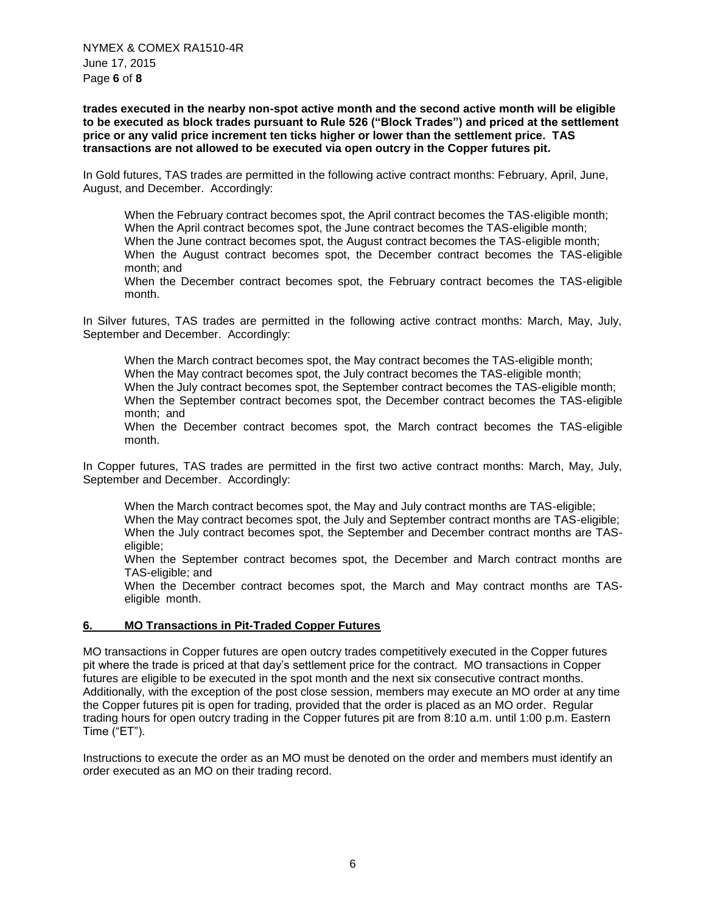**trades executed in the nearby non-spot active month and the second active month will be eligible to be executed as block trades pursuant to Rule 526 ("Block Trades") and priced at the settlement price or any valid price increment ten ticks higher or lower than the settlement price. TAS transactions are not allowed to be executed via open outcry in the Copper futures pit.**

In Gold futures, TAS trades are permitted in the following active contract months: February, April, June, August, and December. Accordingly:

When the February contract becomes spot, the April contract becomes the TAS-eligible month; When the April contract becomes spot, the June contract becomes the TAS-eligible month; When the June contract becomes spot, the August contract becomes the TAS-eligible month; When the August contract becomes spot, the December contract becomes the TAS-eligible month; and

When the December contract becomes spot, the February contract becomes the TAS-eligible month.

In Silver futures, TAS trades are permitted in the following active contract months: March, May, July, September and December. Accordingly:

When the March contract becomes spot, the May contract becomes the TAS-eligible month; When the May contract becomes spot, the July contract becomes the TAS-eligible month; When the July contract becomes spot, the September contract becomes the TAS-eligible month; When the September contract becomes spot, the December contract becomes the TAS-eligible month; and

When the December contract becomes spot, the March contract becomes the TAS-eligible month.

In Copper futures, TAS trades are permitted in the first two active contract months: March, May, July, September and December. Accordingly:

When the March contract becomes spot, the May and July contract months are TAS-eligible; When the May contract becomes spot, the July and September contract months are TAS-eligible; When the July contract becomes spot, the September and December contract months are TASeligible;

When the September contract becomes spot, the December and March contract months are TAS-eligible; and

When the December contract becomes spot, the March and May contract months are TASeligible month.

### **6. MO Transactions in Pit-Traded Copper Futures**

MO transactions in Copper futures are open outcry trades competitively executed in the Copper futures pit where the trade is priced at that day's settlement price for the contract. MO transactions in Copper futures are eligible to be executed in the spot month and the next six consecutive contract months. Additionally, with the exception of the post close session, members may execute an MO order at any time the Copper futures pit is open for trading, provided that the order is placed as an MO order. Regular trading hours for open outcry trading in the Copper futures pit are from 8:10 a.m. until 1:00 p.m. Eastern Time ("ET").

Instructions to execute the order as an MO must be denoted on the order and members must identify an order executed as an MO on their trading record.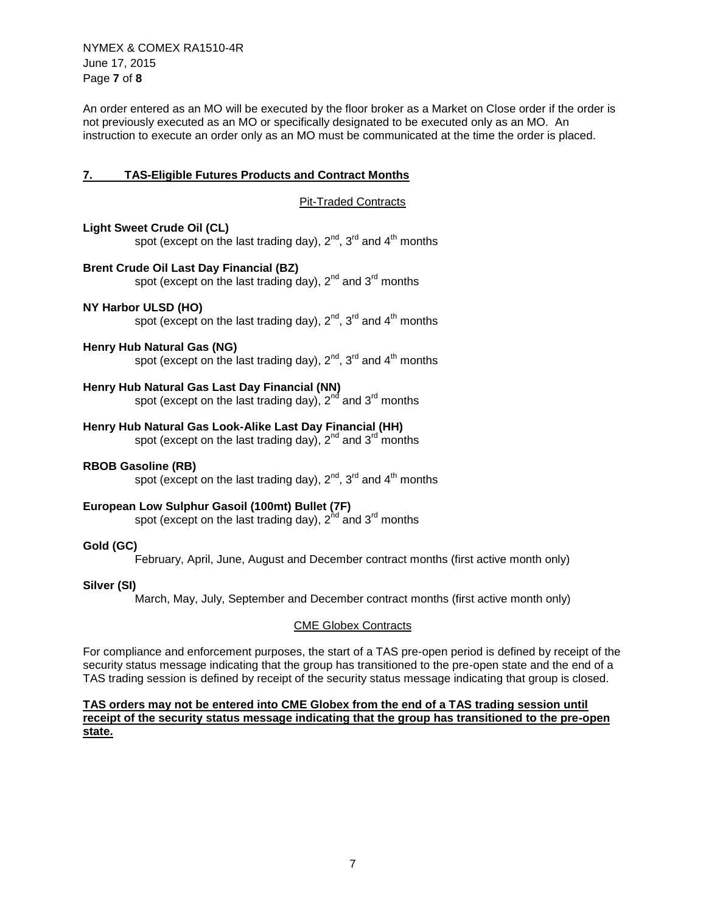NYMEX & COMEX RA1510-4R June 17, 2015 Page **7** of **8**

An order entered as an MO will be executed by the floor broker as a Market on Close order if the order is not previously executed as an MO or specifically designated to be executed only as an MO. An instruction to execute an order only as an MO must be communicated at the time the order is placed.

# **7. TAS-Eligible Futures Products and Contract Months**

Pit-Traded Contracts

### **Light Sweet Crude Oil (CL)**

spot (except on the last trading day),  $2^{nd}$ ,  $3^{rd}$  and  $4^{th}$  months

# **Brent Crude Oil Last Day Financial (BZ)**

spot (except on the last trading day),  $2^{nd}$  and  $3^{rd}$  months

### **NY Harbor ULSD (HO)**

spot (except on the last trading day),  $2^{nd}$ ,  $3^{rd}$  and  $4^{th}$  months

#### **Henry Hub Natural Gas (NG)**

spot (except on the last trading day),  $2^{nd}$ ,  $3^{rd}$  and  $4^{th}$  months

# **Henry Hub Natural Gas Last Day Financial (NN)**

spot (except on the last trading day),  $2<sup>nd</sup>$  and  $3<sup>rd</sup>$  months

# **Henry Hub Natural Gas Look-Alike Last Day Financial (HH)**

spot (except on the last trading day),  $2^{nd}$  and  $3^{rd}$  months

#### **RBOB Gasoline (RB)**

spot (except on the last trading day),  $2^{nd}$ ,  $3^{rd}$  and  $4^{th}$  months

# **European Low Sulphur Gasoil (100mt) Bullet (7F)**

spot (except on the last trading day),  $2^{nd}$  and  $3^{rd}$  months

### **Gold (GC)**

February, April, June, August and December contract months (first active month only)

#### **Silver (SI)**

March, May, July, September and December contract months (first active month only)

#### CME Globex Contracts

For compliance and enforcement purposes, the start of a TAS pre-open period is defined by receipt of the security status message indicating that the group has transitioned to the pre-open state and the end of a TAS trading session is defined by receipt of the security status message indicating that group is closed.

### **TAS orders may not be entered into CME Globex from the end of a TAS trading session until receipt of the security status message indicating that the group has transitioned to the pre-open state.**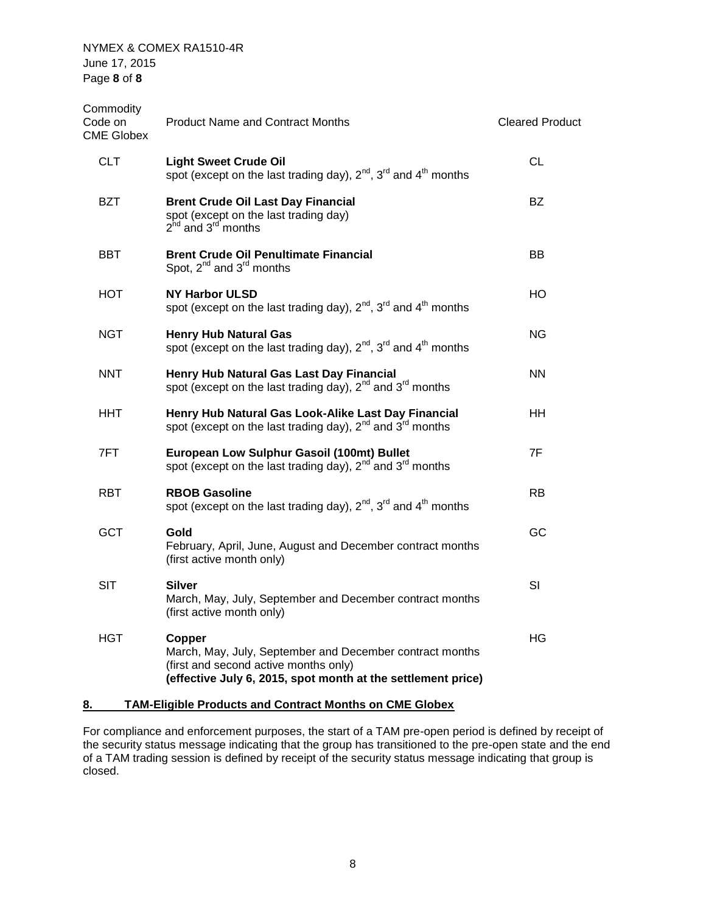| Commodity<br>Code on<br><b>CME Globex</b> | <b>Product Name and Contract Months</b>                                                                                                                                     | <b>Cleared Product</b> |
|-------------------------------------------|-----------------------------------------------------------------------------------------------------------------------------------------------------------------------------|------------------------|
| <b>CLT</b>                                | <b>Light Sweet Crude Oil</b><br>spot (except on the last trading day), $2^{nd}$ , $3^{rd}$ and $4^{th}$ months                                                              | CL                     |
| <b>BZT</b>                                | <b>Brent Crude Oil Last Day Financial</b><br>spot (except on the last trading day)<br>$2hd$ and $3rd$ months                                                                | <b>BZ</b>              |
| BBT                                       | <b>Brent Crude Oil Penultimate Financial</b><br>Spot, $2^{nd}$ and $3^{rd}$ months                                                                                          | BB                     |
| HOT                                       | <b>NY Harbor ULSD</b><br>spot (except on the last trading day), $2^{nd}$ , $3^{rd}$ and $4^{th}$ months                                                                     | HO.                    |
| <b>NGT</b>                                | <b>Henry Hub Natural Gas</b><br>spot (except on the last trading day), $2^{nd}$ , $3^{rd}$ and $4^{th}$ months                                                              | ΝG                     |
| <b>NNT</b>                                | Henry Hub Natural Gas Last Day Financial<br>spot (except on the last trading day), $2^{nd}$ and $3^{rd}$ months                                                             | <b>NN</b>              |
| HHT.                                      | Henry Hub Natural Gas Look-Alike Last Day Financial<br>spot (except on the last trading day), $2^{nd}$ and $3^{rd}$ months                                                  | ΗH                     |
| 7FT.                                      | European Low Sulphur Gasoil (100mt) Bullet<br>spot (except on the last trading day), $2^{nd}$ and $3^{rd}$ months                                                           | 7F                     |
| <b>RBT</b>                                | <b>RBOB Gasoline</b><br>spot (except on the last trading day), $2^{nd}$ , $3^{rd}$ and $4^{th}$ months                                                                      | RB                     |
| <b>GCT</b>                                | Gold<br>February, April, June, August and December contract months<br>(first active month only)                                                                             | GC                     |
| <b>SIT</b>                                | Silver<br>March, May, July, September and December contract months<br>(first active month only)                                                                             | SI                     |
| <b>HGT</b>                                | Copper<br>March, May, July, September and December contract months<br>(first and second active months only)<br>(effective July 6, 2015, spot month at the settlement price) | HG                     |
|                                           |                                                                                                                                                                             |                        |

# **8. TAM-Eligible Products and Contract Months on CME Globex**

For compliance and enforcement purposes, the start of a TAM pre-open period is defined by receipt of the security status message indicating that the group has transitioned to the pre-open state and the end of a TAM trading session is defined by receipt of the security status message indicating that group is closed.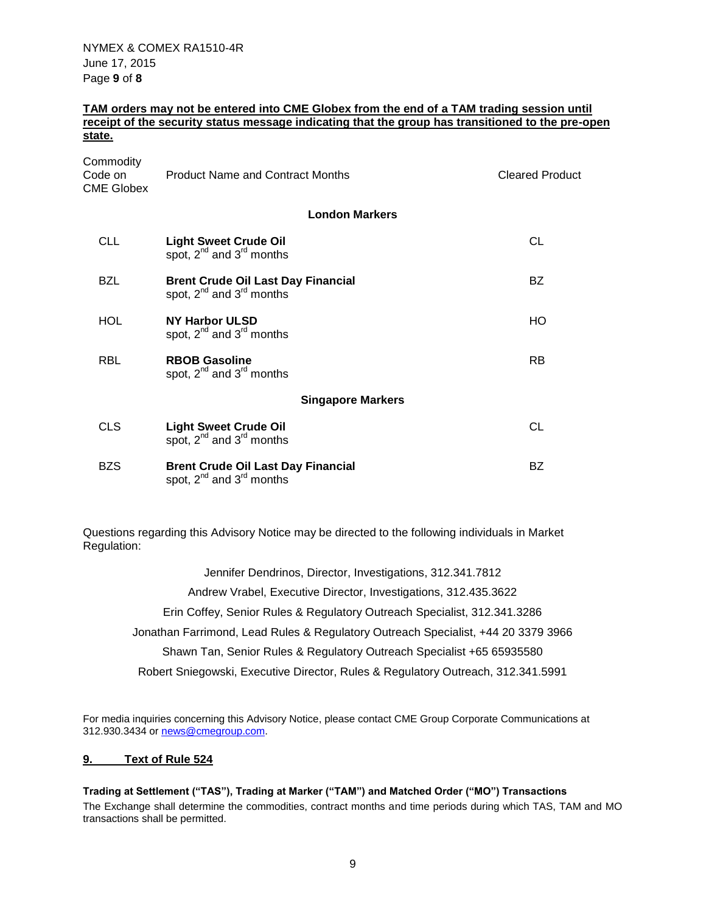### **TAM orders may not be entered into CME Globex from the end of a TAM trading session until receipt of the security status message indicating that the group has transitioned to the pre-open state.**

| Commodity<br>Code on<br>CME Globex | <b>Product Name and Contract Months</b>                                         | <b>Cleared Product</b> |
|------------------------------------|---------------------------------------------------------------------------------|------------------------|
|                                    | <b>London Markers</b>                                                           |                        |
| CLL.                               | <b>Light Sweet Crude Oil</b><br>spot, $2^{nd}$ and $3^{rd}$ months              | CL                     |
| BZL                                | <b>Brent Crude Oil Last Day Financial</b><br>spot, $2^{nd}$ and $3^{rd}$ months | BZ.                    |
| <b>HOL</b>                         | NY Harbor ULSD<br>spot, $2^{nd}$ and $3^{rd}$ months                            | HO                     |
| <b>RBL</b>                         | <b>RBOB Gasoline</b><br>spot, 2 <sup>nd</sup> and 3 <sup>rd</sup> months        | RB.                    |
|                                    | <b>Singapore Markers</b>                                                        |                        |
| <b>CLS</b>                         | <b>Light Sweet Crude Oil</b><br>spot, $2^{nd}$ and $3^{rd}$ months              | CL                     |
| BZS.                               | <b>Brent Crude Oil Last Day Financial</b><br>spot, $2^{nd}$ and $3^{rd}$ months | BZ                     |

Questions regarding this Advisory Notice may be directed to the following individuals in Market Regulation:

> Jennifer Dendrinos, Director, Investigations, 312.341.7812 Andrew Vrabel, Executive Director, Investigations, 312.435.3622 Erin Coffey, Senior Rules & Regulatory Outreach Specialist, 312.341.3286 Jonathan Farrimond, Lead Rules & Regulatory Outreach Specialist, +44 20 3379 3966 Shawn Tan, Senior Rules & Regulatory Outreach Specialist +65 65935580 Robert Sniegowski, Executive Director, Rules & Regulatory Outreach, 312.341.5991

For media inquiries concerning this Advisory Notice, please contact CME Group Corporate Communications at 312.930.3434 or [news@cmegroup.com.](mailto:news@cmegroup.com)

### **9. Text of Rule 524**

**Trading at Settlement ("TAS"), Trading at Marker ("TAM") and Matched Order ("MO") Transactions** The Exchange shall determine the commodities, contract months and time periods during which TAS, TAM and MO transactions shall be permitted.